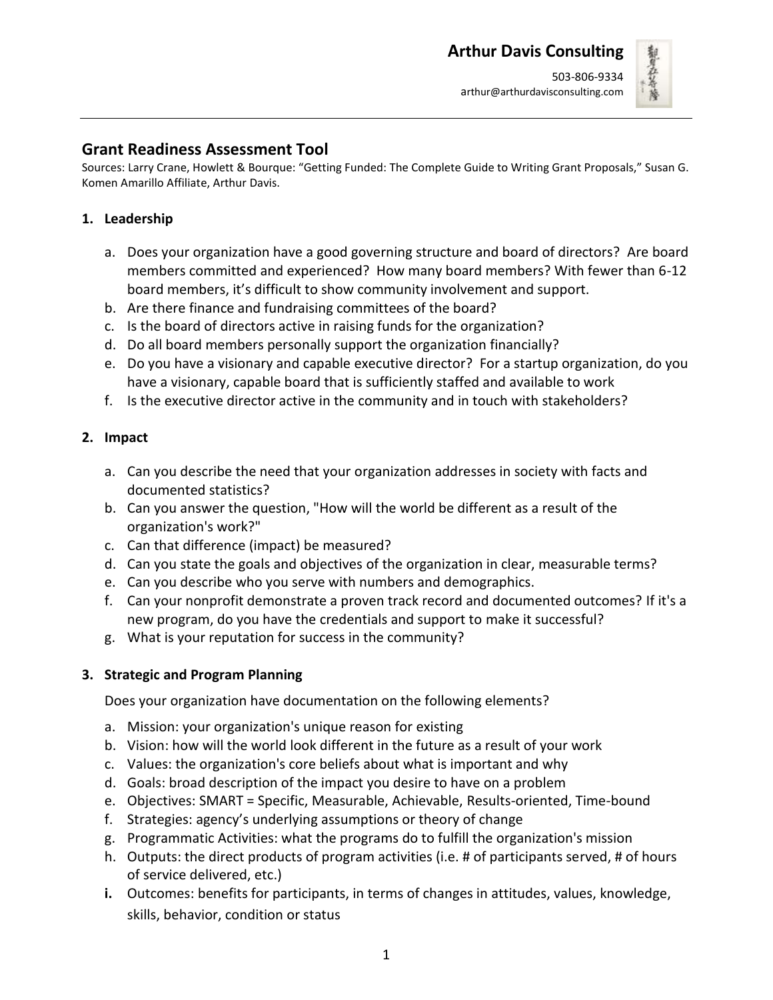

### **Grant Readiness Assessment Tool**

Sources: Larry Crane, Howlett & Bourque: "Getting Funded: The Complete Guide to Writing Grant Proposals," Susan G. Komen Amarillo Affiliate, Arthur Davis.

### **1. Leadership**

- a. Does your organization have a good governing structure and board of directors? Are board members committed and experienced? How many board members? With fewer than 6-12 board members, it's difficult to show community involvement and support.
- b. Are there finance and fundraising committees of the board?
- c. Is the board of directors active in raising funds for the organization?
- d. Do all board members personally support the organization financially?
- e. Do you have a visionary and capable executive director? For a startup organization, do you have a visionary, capable board that is sufficiently staffed and available to work
- f. Is the executive director active in the community and in touch with stakeholders?

#### **2. Impact**

- a. Can you describe the need that your organization addresses in society with facts and documented statistics?
- b. Can you answer the question, "How will the world be different as a result of the organization's work?"
- c. Can that difference (impact) be measured?
- d. Can you state the goals and objectives of the organization in clear, measurable terms?
- e. Can you describe who you serve with numbers and demographics.
- f. Can your nonprofit demonstrate a proven track record and documented outcomes? If it's a new program, do you have the credentials and support to make it successful?
- g. What is your reputation for success in the community?

#### **3. Strategic and Program Planning**

Does your organization have documentation on the following elements?

- a. Mission: your organization's unique reason for existing
- b. Vision: how will the world look different in the future as a result of your work
- c. Values: the organization's core beliefs about what is important and why
- d. Goals: broad description of the impact you desire to have on a problem
- e. Objectives: SMART = Specific, Measurable, Achievable, Results-oriented, Time-bound
- f. Strategies: agency's underlying assumptions or theory of change
- g. Programmatic Activities: what the programs do to fulfill the organization's mission
- h. Outputs: the direct products of program activities (i.e. # of participants served, # of hours of service delivered, etc.)
- **i.** Outcomes: benefits for participants, in terms of changes in attitudes, values, knowledge, skills, behavior, condition or status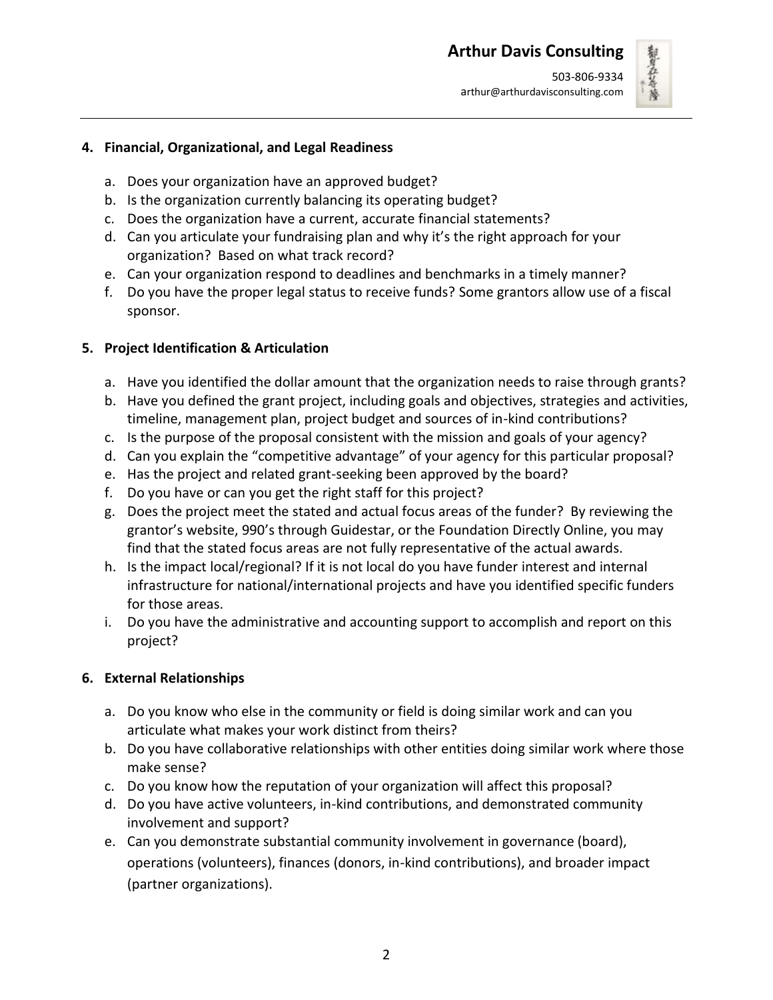

#### **4. Financial, Organizational, and Legal Readiness**

- a. Does your organization have an approved budget?
- b. Is the organization currently balancing its operating budget?
- c. Does the organization have a current, accurate financial statements?
- d. Can you articulate your fundraising plan and why it's the right approach for your organization? Based on what track record?
- e. Can your organization respond to deadlines and benchmarks in a timely manner?
- f. Do you have the proper legal status to receive funds? Some grantors allow use of a fiscal sponsor.

# **5. Project Identification & Articulation**

- a. Have you identified the dollar amount that the organization needs to raise through grants?
- b. Have you defined the grant project, including goals and objectives, strategies and activities, timeline, management plan, project budget and sources of in-kind contributions?
- c. Is the purpose of the proposal consistent with the mission and goals of your agency?
- d. Can you explain the "competitive advantage" of your agency for this particular proposal?
- e. Has the project and related grant-seeking been approved by the board?
- f. Do you have or can you get the right staff for this project?
- g. Does the project meet the stated and actual focus areas of the funder? By reviewing the grantor's website, 990's through Guidestar, or the Foundation Directly Online, you may find that the stated focus areas are not fully representative of the actual awards.
- h. Is the impact local/regional? If it is not local do you have funder interest and internal infrastructure for national/international projects and have you identified specific funders for those areas.
- i. Do you have the administrative and accounting support to accomplish and report on this project?

# **6. External Relationships**

- a. Do you know who else in the community or field is doing similar work and can you articulate what makes your work distinct from theirs?
- b. Do you have collaborative relationships with other entities doing similar work where those make sense?
- c. Do you know how the reputation of your organization will affect this proposal?
- d. Do you have active volunteers, in-kind contributions, and demonstrated community involvement and support?
- e. Can you demonstrate substantial community involvement in governance (board), operations (volunteers), finances (donors, in-kind contributions), and broader impact (partner organizations).